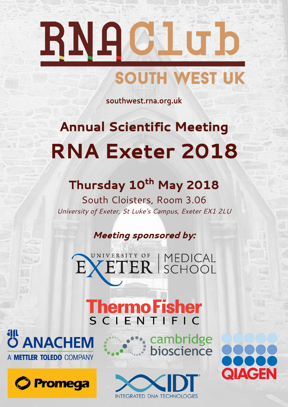# RNACILUD SOUTH WEST UK

southwest.rna.org.uk

# **Annual Scientific Meeting RNA Exeter 2018**

## Thursday 10<sup>th</sup> May 2018

**South Cloisters, Room 3.06** *University of Exeter, St Luke's Campus, Exeter EX1 2LU*

## **Meeting sponsored by:**



**Thermo Fisher** 





**...** cambridge bioscience



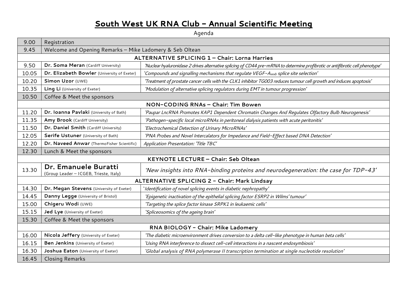## South West UK RNA Club - Annual Scientific Meeting

**Agenda**

| 9.00                                          | Registration                                                   |                                                                                                                                |
|-----------------------------------------------|----------------------------------------------------------------|--------------------------------------------------------------------------------------------------------------------------------|
| 9.45                                          | Welcome and Opening Remarks - Mike Ladomery & Seb Oltean       |                                                                                                                                |
| ALTERNATIVE SPLICING 1 - Chair: Lorna Harries |                                                                |                                                                                                                                |
| 9.50                                          | Dr. Soma Meran (Cardiff University)                            | 'Nuclear hyaluronidase 2 drives alternative splicing of CD44 pre-mRNA to determine profibrotic or antifibrotic cell phenotype' |
| 10.05                                         | Dr. Elizabeth Bowler (University of Exeter)                    | 'Compounds and signalling mechanisms that regulate VEGF-Axxxb splice site selection'                                           |
| 10.20                                         | Simon Uzor (UWE)                                               | 'Treatment of prostate cancer cells with the CLK1 inhibitor TG003 reduces tumour cell growth and induces apoptosis'            |
| 10.35                                         | Ling Li (University of Exeter)                                 | 'Modulation of alternative splicing regulators during EMT in tumour progression'                                               |
| 10.50                                         | Coffee & Meet the sponsors                                     |                                                                                                                                |
| NON-CODING RNAs - Chair: Tim Bowen            |                                                                |                                                                                                                                |
| 11.20                                         | Dr. Ioanna Pavlaki (University of Bath)                        | 'Paupar LncRNA Promotes KAP1 Dependent Chromatin Changes And Regulates Olfactory Bulb Neurogenesis'                            |
| 11.35                                         | Amy Brook (Cardiff University)                                 | 'Pathogen-specific local microRNAs in peritoneal dialysis patients with acute peritonitis'                                     |
| 11.50                                         | Dr. Daniel Smith (Cardiff University)                          | 'Electrochemical Detection of Urinary MicroRNAs'                                                                               |
| 12.05                                         | Serife Ustuner (University of Bath)                            | 'PNA Probes and Novel Intercalators for Impedance and Field-Effect based DNA Detection'                                        |
| 12.20                                         | Dr. Naveed Anwar (ThermoFisher Scientific)                     | Application Presentation: 'Title TBC'                                                                                          |
| 12.30<br>Lunch & Meet the sponsors            |                                                                |                                                                                                                                |
| KEYNOTE LECTURE - Chair: Seb Oltean           |                                                                |                                                                                                                                |
| 13.30                                         | Dr. Emanuele Buratti<br>(Group Leader - ICGEB, Trieste, Italy) | 'New insights into RNA-binding proteins and neurodegeneration: the case for TDP-43'                                            |
| ALTERNATIVE SPLICING 2 - Chair: Mark Lindsay  |                                                                |                                                                                                                                |
| 14.30                                         | Dr. Megan Stevens (University of Exeter)                       | 'Identification of novel splicing events in diabetic nephropathy'                                                              |
| 14.45                                         | Danny Legge (University of Bristol)                            | 'Epigenetic inactivation of the epithelial splicing factor ESRP2 in Wilms' tumour'                                             |
| 15.00                                         | Chigeru Wodi (UWE)                                             | 'Targeting the splice factor kinase SRPK1 in leukaemic cells'                                                                  |
| 15.15                                         | Jed Lye (University of Exeter)                                 | 'Spliceosomics of the ageing brain'                                                                                            |
| 15.30                                         | Coffee & Meet the sponsors                                     |                                                                                                                                |
| RNA BIOLOGY - Chair: Mike Ladomery            |                                                                |                                                                                                                                |
| 16.00                                         | Nicola Jeffery (University of Exeter)                          | 'The diabetic microenvironment drives conversion to a delta cell-like phenotype in human beta cells'                           |
| 16.15                                         | Ben Jenkins (University of Exeter)                             | 'Using RNA interference to dissect cell-cell interactions in a nascent endosymbiosis'                                          |
| 16.30                                         | Joshua Eaton (University of Exeter)                            | 'Global analysis of RNA polymerase II transcription termination at single nucleotide resolution'                               |
| 16.45                                         | <b>Closing Remarks</b>                                         |                                                                                                                                |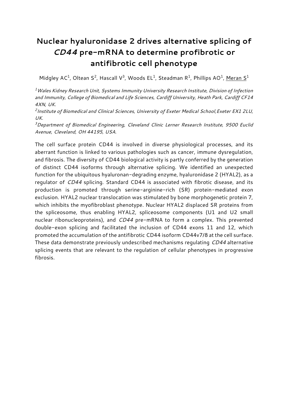## **Nuclear hyaluronidase 2 drives alternative splicing of**  *CD44* **pre-mRNA to determine profibrotic or antifibrotic cell phenotype**

**Midgley AC<sup>1</sup> , Oltean S<sup>2</sup> , Hascall V<sup>3</sup> , Woods EL<sup>1</sup> , Steadman R<sup>1</sup> , Phillips AO<sup>1</sup> , Meran S<sup>1</sup>**

*<sup>1</sup>Wales Kidney Research Unit, Systems Immunity University Research Institute, Division of Infection and Immunity, College of Biomedical and Life Sciences, Cardiff University, Heath Park, Cardiff CF14 4XN, UK.*

*2 Institute of Biomedical and Clinical Sciences, University of Exeter Medical School,Exeter EX1 2LU, UK.*

*<sup>3</sup>Department of Biomedical Engineering, Cleveland Clinic Lerner Research Institute, 9500 Euclid Avenue, Cleveland, OH 44195, USA.*

**The cell surface protein CD44 is involved in diverse physiological processes, and its aberrant function is linked to various pathologies such as cancer, immune dysregulation, and fibrosis. The diversity of CD44 biological activity is partly conferred by the generation of distinct CD44 isoforms through alternative splicing. We identified an unexpected function for the ubiquitous hyaluronan-degrading enzyme, hyaluronidase 2 (HYAL2), as a regulator of** *CD44* **splicing. Standard CD44 is associated with fibrotic disease, and its production is promoted through serine-arginine-rich (SR) protein-mediated exon exclusion. HYAL2 nuclear translocation was stimulated by bone morphogenetic protein 7, which inhibits the myofibroblast phenotype. Nuclear HYAL2 displaced SR proteins from the spliceosome, thus enabling HYAL2, spliceosome components (U1 and U2 small nuclear ribonucleoproteins), and** *CD44* **pre-mRNA to form a complex. This prevented double-exon splicing and facilitated the inclusion of CD44 exons 11 and 12, which promoted the accumulation of the antifibrotic CD44 isoform CD44v7/8 at the cell surface. These data demonstrate previously undescribed mechanisms regulating** *CD44* **alternative splicing events that are relevant to the regulation of cellular phenotypes in progressive fibrosis.**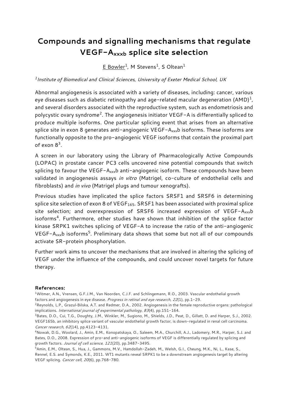## **Compounds and signalling mechanisms that regulate VEGF-Axxxb splice site selection**

**E Bowler<sup>1</sup> , M Stevens<sup>1</sup> , S Oltean<sup>1</sup>**

*1 Institute of Biomedical and Clinical Sciences, University of Exeter Medical School, UK*

**Abnormal angiogenesis is associated with a variety of diseases, including: cancer, various eye diseases such as diabetic retinopathy and age-related macular degeneration (AMD)<sup>1</sup> , and several disorders associated with the reproductive system, such as endometriosis and polycystic ovary syndrome<sup>2</sup> . The angiogenesis initiator VEGF-A is differentially spliced to produce multiple isoforms. One particular splicing event that arises from an alternative splice site in exon 8 generates anti-angiogenic VEGF-Axxxb isoforms. These isoforms are functionally opposite to the pro-angiogenic VEGF isoforms that contain the proximal part of exon 8<sup>3</sup> .**

**A screen in our laboratory using the Library of Pharmacologically Active Compounds (LOPAC) in prostate cancer PC3 cells uncovered nine potential compounds that switch splicing to favour the VEGF-Axxxb anti-angiogenic isoform. These compounds have been validated in angiogenesis assays** *in vitro* **(Matrigel, co-culture of endothelial cells and fibroblasts) and** *in vivo* **(Matrigel plugs and tumour xenografts).**

**Previous studies have implicated the splice factors SRSF1 and SRSF6 in determining splice site selection of exon 8 of VEGF165. SRSF1 has been associated with proximal splice site selection; and overexpression of SRSF6 increased expression of VEGF-Axxxb isoforms<sup>4</sup> . Furthermore, other studies have shown that inhibition of the splice factor kinase SRPK1 switches splicing of VEGF-A to increase the ratio of the anti-angiogenic VEGF-Axxxb isoforms<sup>5</sup> . Preliminary data shows that some but not all of our compounds activate SR-protein phosphorylation.**

**Further work aims to uncover the mechanisms that are involved in altering the splicing of VEGF under the influence of the compounds, and could uncover novel targets for future therapy.**

#### **References:**

**<sup>1</sup>Witmer, A.N., Vrensen, G.F.J.M., Van Noorden, C.J.F. and Schlingemann, R.O., 2003. Vascular endothelial growth factors and angiogenesis in eye disease.** *Progress in retinal and eye research***,** *22***(1), pp.1-29.**

**<sup>2</sup>Reynolds, L.P., Grazul**‐**Bilska, A.T. and Redmer, D.A., 2002. Angiogenesis in the female reproductive organs: pathological implications.** *International journal of experimental pathology***,** *83***(4), pp.151-164.**

**<sup>3</sup>Bates, D.O., Cui, T.G., Doughty, J.M., Winkler, M., Sugiono, M., Shields, J.D., Peat, D., Gillatt, D. and Harper, S.J., 2002. VEGF165b, an inhibitory splice variant of vascular endothelial growth factor, is down-regulated in renal cell carcinoma.**  *Cancer research***,** *62***(14), pp.4123-4131.**

**<sup>4</sup>Nowak, D.G., Woolard, J., Amin, E.M., Konopatskaya, O., Saleem, M.A., Churchill, A.J., Ladomery, M.R., Harper, S.J. and Bates, D.O., 2008. Expression of pro-and anti-angiogenic isoforms of VEGF is differentially regulated by splicing and growth factors.** *Journal of cell science***,** *121***(20), pp.3487-3495.**

**<sup>5</sup>Amin, E.M., Oltean, S., Hua, J., Gammons, M.V., Hamdollah-Zadeh, M., Welsh, G.I., Cheung, M.K., Ni, L., Kase, S., Rennel, E.S. and Symonds, K.E., 2011. WT1 mutants reveal SRPK1 to be a downstream angiogenesis target by altering VEGF splicing.** *Cancer cell***,** *20***(6), pp.768-780.**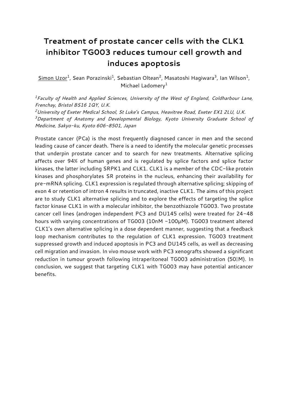## **Treatment of prostate cancer cells with the CLK1 inhibitor TG003 reduces tumour cell growth and induces apoptosis**

**Simon Uzor<sup>1</sup> , Sean Porazinski<sup>1</sup> , Sebastian Oltean<sup>2</sup> , Masatoshi Hagiwara<sup>3</sup> , Ian Wilson<sup>1</sup> , Michael Ladomery<sup>1</sup>**

*<sup>1</sup>Faculty of Health and Applied Sciences, University of the West of England, Coldharbour Lane, Frenchay, Bristol BS16 1QY, U.K.*

*<sup>2</sup>University of Exeter Medical School, St Luke's Campus, Heavitree Road, Exeter EX1 2LU, U.K. <sup>3</sup>Department of Anatomy and Developmental Biology, Kyoto University Graduate School of Medicine, Sakyo-ku, Kyoto 606-8501, Japan*

**Prostate cancer (PCa) is the most frequently diagnosed cancer in men and the second leading cause of cancer death. There is a need to identify the molecular genetic processes that underpin prostate cancer and to search for new treatments. Alternative splicing affects over 94% of human genes and is regulated by splice factors and splice factor kinases, the latter including SRPK1 and CLK1. CLK1 is a member of the CDC-like protein kinases and phosphorylates SR proteins in the nucleus, enhancing their availability for pre-mRNA splicing. CLK1 expression is regulated through alternative splicing; skipping of exon 4 or retention of intron 4 results in truncated, inactive CLK1. The aims of this project are to study CLK1 alternative splicing and to explore the effects of targeting the splice factor kinase CLK1 in with a molecular inhibitor, the benzothiazole TG003. Two prostate cancer cell lines (androgen independent PC3 and DU145 cells) were treated for 24-48 hours with varying concentrations of TG003 (10nM -100µM). TG003 treatment altered CLK1's own alternative splicing in a dose dependent manner, suggesting that a feedback loop mechanism contributes to the regulation of CLK1 expression. TG003 treatment suppressed growth and induced apoptosis in PC3 and DU145 cells, as well as decreasing cell migration and invasion. In vivo mouse work with PC3 xenografts showed a significant**  reduction in tumour growth following intraperitoneal TG003 administration (500M). In **conclusion, we suggest that targeting CLK1 with TG003 may have potential anticancer benefits.**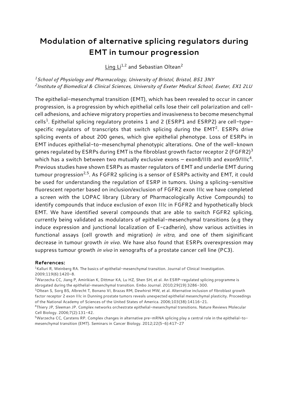#### **Modulation of alternative splicing regulators during EMT in tumour progression**

**Ling Li1,2 and Sebastian Oltean<sup>2</sup>**

*<sup>1</sup>School of Physiology and Pharmacology, University of Bristol, Bristol, BS1 3NY 2 Institute of Biomedical & Clinical Sciences, University of Exeter Medical School, Exeter, EX1 2LU*

**The epithelial-mesenchymal transition (EMT), which has been revealed to occur in cancer progression, is a progression by which epithelial cells lose their cell polarization and cellcell adhesions, and achieve migratory properties and invasiveness to become mesenchymal cells<sup>1</sup> . Epithelial splicing regulatory proteins 1 and 2 (ESRP1 and ESRP2) are cell-typespecific regulators of transcripts that switch splicing during the EMT<sup>2</sup> . ESRPs drive splicing events of about 200 genes, which give epithelial phenotype. Loss of ESRPs in EMT induces epithelial-to-mesenchymal phenotypic alterations. One of the well-known genes regulated by ESRPs during EMT is the fibroblast growth factor receptor 2 (FGFR2)<sup>3</sup> which has a switch between two mutually exclusive exons – exon8/IIIb and exon9/IIIc<sup>4</sup> . Previous studies have shown ESRPs as master regulators of EMT and underlie EMT during tumour progression2,5. As FGFR2 splicing is a sensor of ESRPs activity and EMT, it could be used for understanding the regulation of ESRP in tumors. Using a splicing-sensitive fluorescent reporter based on inclusion/exclusion of FGFR2 exon IIIc we have completed a screen with the LOPAC library (Library of Pharmacologically Active Compounds) to identify compounds that induce exclusion of exon IIIc in FGFR2 and hypothetically block EMT. We have identified several compounds that are able to switch FGFR2 splicing, currently being validated as modulators of epithelial-mesenchymal transitions (e.g they induce expression and junctional localization of E-cadherin), show various activities in functional assays (cell growth and migration)** *in vitro***, and one of them siginificant decrease in tumour growth** *in vivo***. We have also found that ESRPs overexpression may suppress tumour growth** *in vivo* **in xenografts of a prostate cancer cell line (PC3).**

#### **References:**

**<sup>1</sup>Kalluri R, Weinberg RA. The basics of epithelial-mesenchymal transition. Journal of Clinical Investigation. 2009;119(6):1420-8.**

**<sup>2</sup>Warzecha CC, Jiang P, Amirikian K, Dittmar KA, Lu HZ, Shen SH, et al. An ESRP-regulated splicing programme is abrogated during the epithelial-mesenchymal transition. Embo Journal. 2010;29(19):3286-300.**

**<sup>3</sup>Oltean S, Sorg BS, Albrecht T, Bonano VI, Brazas RM, Dewhirst MW, et al. Alternative inclusion of fibroblast growth factor receptor 2 exon IIIc in Dunning prostate tumors reveals unexpected epithelial mesenchymal plasticity. Proceedings of the National Academy of Sciences of the United States of America. 2006;103(38):14116-21.**

**<sup>4</sup>Thiery JP, Sleeman JP. Complex networks orchestrate epithelial-mesenchymal transitions. Nature Reviews Molecular Cell Biology. 2006;7(2):131-42.**

**<sup>5</sup>Warzecha CC, Carstens RP. Complex changes in alternative pre-mRNA splicing play a central role in the epithelial-tomesenchymal transition (EMT). Seminars in Cancer Biology. 2012;22(5-6):417-27**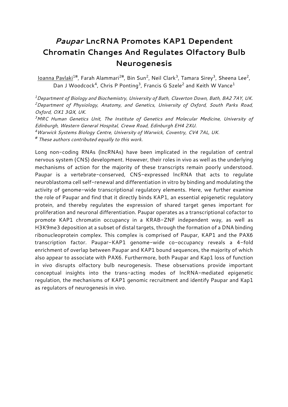## *Paupar* **LncRNA Promotes KAP1 Dependent Chromatin Changes And Regulates Olfactory Bulb Neurogenesis**

**Ioanna Pavlaki1#, Farah Alammari2#, Bin Sun<sup>2</sup> , Neil Clark<sup>3</sup> , Tamara Sirey<sup>3</sup> , Sheena Lee<sup>2</sup> , Dan J Woodcock<sup>4</sup> , Chris P Ponting<sup>3</sup> , Francis G Szele<sup>2</sup> and Keith W Vance<sup>1</sup>**

*<sup>1</sup>Department of Biology and Biochemistry, University of Bath, Claverton Down, Bath, BA2 7AY, UK. <sup>2</sup>Department of Physiology, Anatomy, and Genetics, University of Oxford, South Parks Road, Oxford, OX1 3QX, UK.*

*<sup>3</sup>MRC Human Genetics Unit, The Institute of Genetics and Molecular Medicine, University of Edinburgh, Western General Hospital, Crewe Road, Edinburgh EH4 2XU.*

*<sup>4</sup>Warwick Systems Biology Centre, University of Warwick, Coventry, CV4 7AL, UK.*

*# These authors contributed equally to this work.*

**Long non-coding RNAs (lncRNAs) have been implicated in the regulation of central nervous system (CNS) development. However, their roles in vivo as well as the underlying mechanisms of action for the majority of these transcripts remain poorly understood. Paupar is a vertebrate-conserved, CNS-expressed lncRNA that acts to regulate neuroblastoma cell self-renewal and differentiation in vitro by binding and modulating the activity of genome-wide transcriptional regulatory elements. Here, we further examine the role of Paupar and find that it directly binds KAP1, an essential epigenetic regulatory protein, and thereby regulates the expression of shared target genes important for proliferation and neuronal differentiation. Paupar operates as a transcriptional cofactor to promote KAP1 chromatin occupancy in a KRAB-ZNF independent way, as well as H3K9me3 deposition at a subset of distal targets, through the formation of a DNA binding ribonucleoprotein complex. This complex is comprised of Paupar, KAP1 and the PAX6 transcription factor. Paupar-KAP1 genome-wide co-occupancy reveals a 4-fold enrichment of overlap between Paupar and KAP1 bound sequences, the majority of which also appear to associate with PAX6. Furthermore, both Paupar and Kap1 loss of function in vivo disrupts olfactory bulb neurogenesis. These observations provide important conceptual insights into the trans-acting modes of lncRNA-mediated epigenetic regulation, the mechanisms of KAP1 genomic recruitment and identify Paupar and Kap1 as regulators of neurogenesis in vivo.**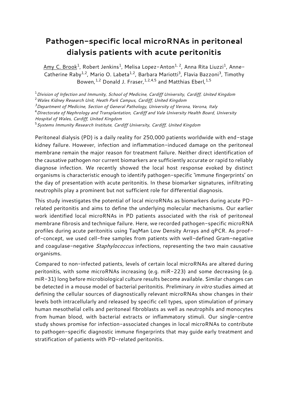#### **Pathogen-specific local microRNAs in peritoneal dialysis patients with acute peritonitis**

**Amy C. Brook<sup>1</sup> , Robert Jenkins<sup>1</sup> , Melisa Lopez-Anton1, 2, Anna Rita Liuzzi<sup>1</sup> , Anne-Catherine Raby1,2, Mario O. Labeta1,2, Barbara Mariotti<sup>3</sup> , Flavia Bazzoni<sup>3</sup> , Timothy Bowen,1,2 Donald J. Fraser,1,2,4,5 and Matthias Eberl,1,5**

**<sup>1</sup>***Division of Infection and Immunity, School of Medicine, Cardiff University, Cardiff, United Kingdom*

**<sup>2</sup>***Wales Kidney Research Unit, Heath Park Campus, Cardiff, United Kingdom*

*<sup>3</sup>Department of Medicine, Section of General Pathology, University of Verona, Verona, Italy*

**<sup>4</sup>***Directorate of Nephrology and Transplantation, Cardiff and Vale University Health Board, University* 

*Hospital of Wales, Cardiff, United Kingdom*

**<sup>5</sup>***Systems Immunity Research Institute, Cardiff University, Cardiff, United Kingdom*

**Peritoneal dialysis (PD) is a daily reality for 250,000 patients worldwide with end-stage kidney failure. However, infection and inflammation-induced damage on the peritoneal membrane remain the major reason for treatment failure. Neither direct identification of the causative pathogen nor current biomarkers are sufficiently accurate or rapid to reliably diagnose infection. We recently showed the local host response evoked by distinct organisms is characteristic enough to identify pathogen-specific 'immune fingerprints' on the day of presentation with acute peritonitis. In these biomarker signatures, infiltrating neutrophils play a prominent but not sufficient role for differential diagnosis.** 

**This study investigates the potential of local microRNAs as biomarkers during acute PDrelated peritonitis and aims to define the underlying molecular mechanisms. Our earlier work identified local microRNAs in PD patients associated with the risk of peritoneal membrane fibrosis and technique failure. Here, we recorded pathogen-specific microRNA profiles during acute peritonitis using TaqMan Low Density Arrays and qPCR. As proofof-concept, we used cell-free samples from patients with well-defined Gram-negative and coagulase-negative** *Staphylococcus* **infections, representing the two main causative organisms.**

**Compared to non-infected patients, levels of certain local microRNAs are altered during peritonitis, with some microRNAs increasing (e.g. miR-223) and some decreasing (e.g. miR-31) long before microbiological culture results become available. Similar changes can be detected in a mouse model of bacterial peritonitis. Preliminary** *in vitro* **studies aimed at defining the cellular sources of diagnostically relevant microRNAs show changes in their levels both intracellularly and released by specific cell types, upon stimulation of primary human mesothelial cells and peritoneal fibroblasts as well as neutrophils and monocytes from human blood, with bacterial extracts or inflammatory stimuli. Our single-centre study shows promise for infection-associated changes in local microRNAs to contribute to pathogen-specific diagnostic immune fingerprints that may guide early treatment and stratification of patients with PD-related peritonitis.**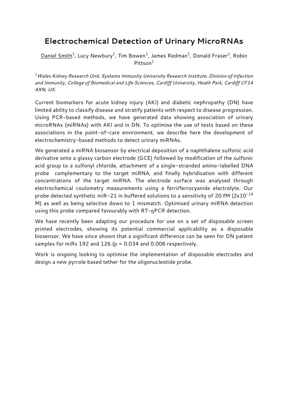#### **Electrochemical Detection of Urinary MicroRNAs**

**Daniel Smith<sup>1</sup> , Lucy Newbury<sup>1</sup> , Tim Bowen<sup>1</sup> , James Redman<sup>1</sup> , Donald Fraser<sup>1</sup> , Robin Pittson<sup>1</sup>**

*<sup>1</sup>Wales Kidney Research Unit, Systems Immunity University Research Institute, Division of Infection and Immunity, College of Biomedical and Life Sciences, Cardiff University, Heath Park, Cardiff CF14 4XN, UK.*

**Current biomarkers for acute kidney injury (AKI) and diabetic nephropathy (DN) have limited ability to classify disease and stratify patients with respect to disease progression. Using PCR-based methods, we have generated data showing association of urinary microRNAs (miRNAs) with AKI and in DN. To optimise the use of tests based on these associations in the point-of-care environment, we describe here the development of electrochemistry-based methods to detect urinary miRNAs.**

**We generated a miRNA biosensor by electrical deposition of a naphthalene sulfonic acid derivative onto a glassy carbon electrode (GCE) followed by modification of the sulfonic acid group to a sulfonyl chloride, attachment of a single-stranded amino-labelled DNA probe complementary to the target miRNA, and finally hybridisation with different concentrations of the target miRNA. The electrode surface was analysed through electrochemical coulometry measurements using a ferri/ferrocyanide electrolyte. Our probe detected synthetic miR-21 in buffered solutions to a sensitivity of 20 fM (2x10-14 M) as well as being selective down to 1 mismatch. Optimised urinary miRNA detection using this probe compared favourably with RT-qPCR detection.** 

**We have recently been adapting our procedure for use on a set of disposable screen printed electrodes, showing its potential commercial applicability as a disposable biosensor. We have since shown that a significant difference can be seen for DN patient samples for miRs 192 and 126 (p = 0.034 and 0.006 respectively.** 

**Work is ongoing looking to optimise the implementation of disposable electrodes and design a new pyrrole based tether for the oligonucleotide probe.**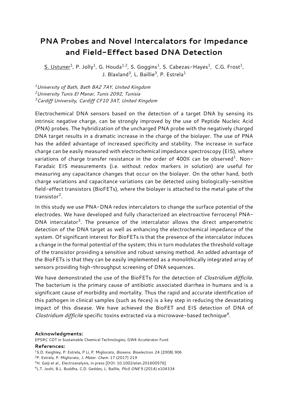#### **PNA Probes and Novel Intercalators for Impedance and Field-Effect based DNA Detection**

**S. Ustuner<sup>1</sup> , P. Jolly<sup>1</sup> , G. Houda1,2, S. Goggins<sup>1</sup> , S. Cabezas-Hayes<sup>1</sup> , C.G. Frost<sup>1</sup> , J. Blaxland<sup>3</sup> , L. Baillie<sup>3</sup> , P. Estrela<sup>1</sup>**

*<sup>1</sup>University of Bath, Bath BA2 7AY, United Kingdom <sup>2</sup>University Tunis El Manar, Tunis 2092, Tunisia <sup>3</sup>Cardiff University, Cardiff CF10 3AT, United Kingdom*

**Electrochemical DNA sensors based on the detection of a target DNA by sensing its intrinsic negative charge, can be strongly improved by the use of Peptide Nucleic Acid (PNA) probes. The hybridization of the uncharged PNA probe with the negatively charged DNA target results in a dramatic increase in the charge of the biolayer. The use of PNA has the added advantage of increased specificity and stability. The increase in surface charge can be easily measured with electrochemical impedance spectroscopy (EIS), where variations of charge transfer resistance in the order of 400% can be observed<sup>1</sup> . Non-Faradaic EIS measurements (i.e. without redox markers in solution) are useful for measuring any capacitance changes that occur on the biolayer. On the other hand, both charge variations and capacitance variations can be detected using biologically-sensitive field-effect transistors (BioFETs), where the biolayer is attached to the metal gate of the transistor<sup>2</sup> .**

**In this study we use PNA-DNA redox intercalators to change the surface potential of the electrodes. We have developed and fully characterized an electroactive ferrocenyl PNA-DNA intercalator<sup>3</sup> . The presence of the intercalator allows the direct amperometric detection of the DNA target as well as enhancing the electrochemical impedance of the system. Of significant interest for BioFETs is that the presence of the intercalator induces a change in the formal potential of the system; this in turn modulates the threshold voltage of the transistor providing a sensitive and robust sensing method. An added advantage of the BioFETs is that they can be easily implemented as a monolithically integrated array of sensors providing high-throughput screening of DNA sequences.**

**We have demonstrated the use of the BioFETs for the detection of** *Clostridium difficile***. The bacterium is the primary cause of antibiotic associated diarrhea in humans and is a significant cause of morbidity and mortality. Thus the rapid and accurate identification of this pathogen in clinical samples (such as feces) is a key step in reducing the devastating impact of this disease. We have achieved the BioFET and EIS detection of DNA of**  *Clostridium difficile* **specific toxins extracted via a microwave-based technique<sup>4</sup> .**

#### **Acknowledgments:**

**EPSRC CDT in Sustainable Chemical Technologies; GW4 Accelerator Fund**

#### **References:**

- **<sup>1</sup>S.D. Keighley, P. Estrela, P Li, P. Migliorato,** *Biosens. Bioelectron.* **24 (2008) 906**
- **<sup>2</sup>P. Estrela, P. Migliorato,** *J. Mater. Chem.* **17 (2017) 219**
- **<sup>3</sup>H. Gaiji et al., Electroanalysis, in press [DOI: 10.1002/elan.201600576]**

**<sup>4</sup>L.T. Joshi, B.L. Buddha, C.D. Geddes, L. Baillie,** *PloS ONE* **9 (2014) e104334**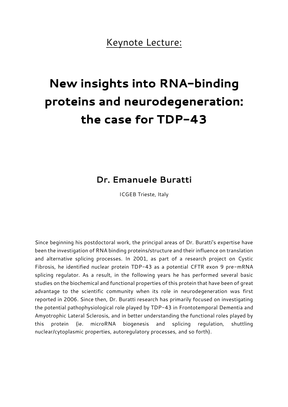## **Keynote Lecture:**

# New insights into RNA-binding proteins and neurodegeneration: the case for TDP-43

## **Dr. Emanuele Buratti**

**ICGEB Trieste, Italy**

**Since beginning his postdoctoral work, the principal areas of Dr. Buratti's expertise have been the investigation of RNA binding proteins/structure and their influence on translation and alternative splicing processes. In 2001, as part of a research project on Cystic Fibrosis, he identified nuclear protein TDP-43 as a potential CFTR exon 9 pre-mRNA splicing regulator. As a result, in the following years he has performed several basic studies on the biochemical and functional properties of this protein that have been of great advantage to the scientific community when its role in neurodegeneration was first reported in 2006. Since then, Dr. Buratti research has primarily focused on investigating the potential pathophysiological role played by TDP-43 in Frontotemporal Dementia and Amyotrophic Lateral Sclerosis, and in better understanding the functional roles played by this protein (ie. microRNA biogenesis and splicing regulation, shuttling nuclear/cytoplasmic properties, autoregulatory processes, and so forth).**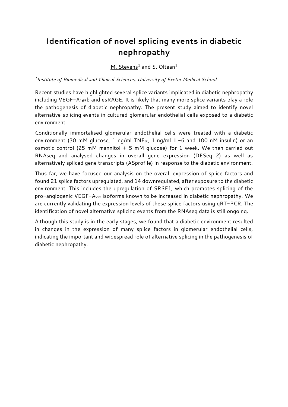## **Identification of novel splicing events in diabetic nephropathy**

**M. Stevens<sup>1</sup> and S. Oltean<sup>1</sup>**

*1 Institute of Biomedical and Clinical Sciences, University of Exeter Medical School*

**Recent studies have highlighted several splice variants implicated in diabetic nephropathy including VEGF-A165b and esRAGE. It is likely that many more splice variants play a role the pathogenesis of diabetic nephropathy. The present study aimed to identify novel alternative splicing events in cultured glomerular endothelial cells exposed to a diabetic environment.**

**Conditionally immortalised glomerular endothelial cells were treated with a diabetic environment (30 mM glucose, 1 ng/ml TNF, 1 ng/ml IL-6 and 100 nM insulin) or an osmotic control (25 mM mannitol + 5 mM glucose) for 1 week. We then carried out RNAseq and analysed changes in overall gene expression (DESeq 2) as well as alternatively spliced gene transcripts (ASprofile) in response to the diabetic environment.** 

**Thus far, we have focused our analysis on the overall expression of splice factors and found 21 splice factors upregulated, and 14 downregulated, after exposure to the diabetic environment. This includes the upregulation of SRSF1, which promotes splicing of the pro-angiogenic VEGF-Axxx isoforms known to be increased in diabetic nephropathy. We are currently validating the expression levels of these splice factors using qRT-PCR. The identification of novel alternative splicing events from the RNAseq data is still ongoing.**

**Although this study is in the early stages, we found that a diabetic environment resulted in changes in the expression of many splice factors in glomerular endothelial cells, indicating the important and widespread role of alternative splicing in the pathogenesis of diabetic nephropathy.**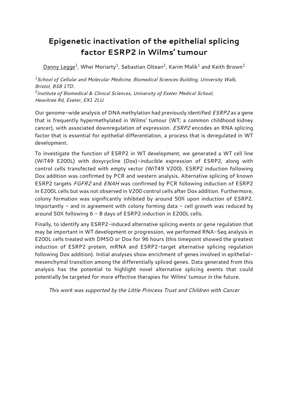## **Epigenetic inactivation of the epithelial splicing factor ESRP2 in Wilms' tumour**

**Danny Legge<sup>1</sup> , Whei Moriarty<sup>1</sup> , Sebastian Oltean<sup>2</sup> , Karim Malik<sup>1</sup> and Keith Brown<sup>1</sup>**

*<sup>1</sup>School of Cellular and Molecular Medicine, Biomedical Sciences Building, University Walk, Bristol, BS8 1TD. 2 Institute of Biomedical & Clinical Sciences, University of Exeter Medical School, Heavitree Rd, Exeter, EX1 2LU.*

**Our genome-wide analysis of DNA methylation had previously identified** *ESRP2* **as a gene that is frequently hypermethylated in Wilms' tumour (WT; a common childhood kidney cancer), with associated downregulation of expression.** *ESRP2* **encodes an RNA splicing factor that is essential for epithelial differentiation, a process that is deregulated in WT development.**

**To investigate the function of ESRP2 in WT development, we generated a WT cell line (WiT49 E200L) with doxycycline (Dox)-inducible expression of ESRP2, along with control cells transfected with empty vector (WiT49 V200). ESRP2 induction following Dox addition was confirmed by PCR and western analysis. Alternative splicing of known ESRP2 targets** *FGFR2* **and** *ENAH* **was confirmed by PCR following induction of ESRP2 in E200L cells but was not observed in V200 control cells after Dox addition. Furthermore, colony formation was significantly inhibited by around 50% upon induction of ESRP2. Importantly - and in agreement with colony forming data - cell growth was reduced by around 50% following 6 - 8 days of ESRP2 induction in E200L cells.**

**Finally, to identify any ESRP2-induced alternative splicing events or gene regulation that may be important in WT development or progression, we performed RNA-Seq analysis in E200L cells treated with DMSO or Dox for 96 hours (this timepoint showed the greatest induction of ESRP2 protein, mRNA and ESRP2-target alternative splicing regulation following Dox addition). Initial analyses show enrichment of genes involved in epithelialmesenchymal transition among the differentially spliced genes. Data generated from this analysis has the potential to highlight novel alternative splicing events that could potentially be targeted for more effective therapies for Wilms' tumour in the future.**

*This work was supported by the Little Princess Trust and Children with Cancer*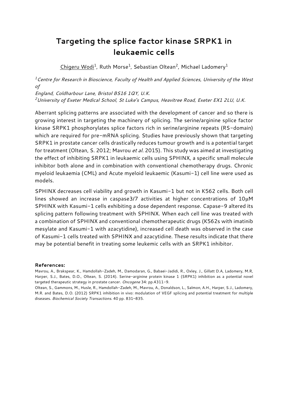#### **Targeting the splice factor kinase SRPK1 in leukaemic cells**

**Chigeru Wodi<sup>1</sup> , Ruth Morse<sup>1</sup> , Sebastian Oltean<sup>2</sup> , Michael Ladomery<sup>1</sup>**

*<sup>1</sup>Centre for Research in Bioscience, Faculty of Health and Applied Sciences, University of the West of*

*England, Coldharbour Lane, Bristol BS16 1QY, U.K.*

*<sup>2</sup>University of Exeter Medical School, St Luke's Campus, Heavitree Road, Exeter EX1 2LU, U.K.*

**Aberrant splicing patterns are associated with the development of cancer and so there is growing interest in targeting the machinery of splicing. The serine/arginine splice factor kinase SRPK1 phosphorylates splice factors rich in serine/arginine repeats (RS-domain) which are required for pre-mRNA splicing. Studies have previously shown that targeting SRPK1 in prostate cancer cells drastically reduces tumour growth and is a potential target for treatment (Oltean, S. 2012; Mavrou** *et al.* **2015). This study was aimed at investigating the effect of inhibiting SRPK1 in leukaemic cells using SPHINX, a specific small molecule inhibitor both alone and in combination with conventional chemotherapy drugs. Chronic myeloid leukaemia (CML) and Acute myeloid leukaemic (Kasumi-1) cell line were used as models.**

**SPHINX decreases cell viability and growth in Kasumi-1 but not in K562 cells. Both cell lines showed an increase in caspase3/7 activities at higher concentrations of 10**μ**M SPHINX with Kasumi-1 cells exhibiting a dose dependent response. Capase-9 altered its splicing pattern following treatment with SPHINX. When each cell line was treated with a combination of SPHINX and conventional chemotherapeutic drugs (K562s with imatinib mesylate and Kasumi-1 with azacytidine), increased cell death was observed in the case of Kasumi-1 cells treated with SPHINX and azacytidine. These results indicate that there may be potential benefit in treating some leukemic cells with an SRPK1 inhibitor.**

#### **References:**

**Mavrou, A., Brakspear, K., Hamdollah-Zadeh, M., Damodaran, G., Babaei-Jadidi, R., Oxley, J., Gillatt D.A, Ladomery, M.R, Harper, S.J., Bates, D.O., Oltean, S. (2014). Serine-arginine protein kinase 1 (SRPK1) inhibition as a potential novel targeted therapeutic strategy in prostate cancer.** *Oncogene* **34: pp.4311-9.** 

**Oltean, S., Gammons, M., Husle, R., Hamdollah-Zadeh, M., Mavrou, A., Donaldson, L., Salmon, A.H., Harper, S.J., Ladomery, M.R. and Bates, D.O. (2012) SRPK1 inhibition in vivo: modulation of VEGF splicing and potential treatment for multiple diseases.** *Biochemical Society Transactions.* **40 pp. 831–835.**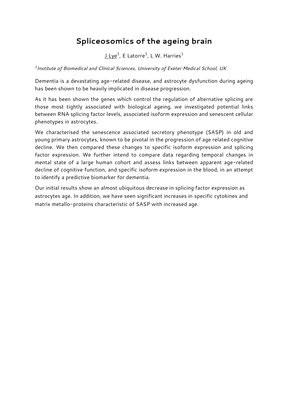#### **Spliceosomics of the ageing brain**

**J Lye<sup>1</sup> , E Latorre<sup>1</sup> , L W. Harries<sup>1</sup>**

*1 Institute of Biomedical and Clinical Sciences, University of Exeter Medical School, UK*

**Dementia is a devastating age-related disease, and astrocyte dysfunction during ageing has been shown to be heavily implicated in disease progression.** 

**As it has been shown the genes which control the regulation of alternative splicing are those most tightly associated with biological ageing, we investigated potential links between RNA splicing factor levels, associated isoform expression and senescent cellular phenotypes in astrocytes.** 

**We characterised the senescence associated secretory phenotype (SASP) in old and young primary astrocytes, known to be pivotal in the progression of age related cognitive decline. We then compared these changes to specific isoform expression and splicing factor expression. We further intend to compare data regarding temporal changes in mental state of a large human cohort and assess links between apparent age-related decline of cognitive function, and specific isoform expression in the blood, in an attempt to identify a predictive biomarker for dementia.** 

**Our initial results show an almost ubiquitous decrease in splicing factor expression as astrocytes age. In addition, we have seen significant increases in specific cytokines and matrix metallo-proteins characteristic of SASP with increased age.**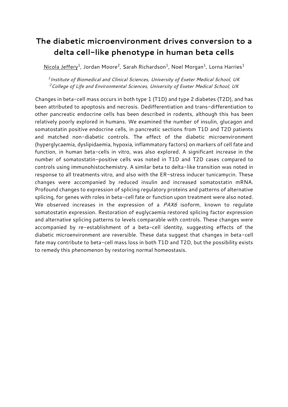#### **The diabetic microenvironment drives conversion to a delta cell-like phenotype in human beta cells**

**Nicola Jeffery<sup>1</sup> , Jordan Moore<sup>2</sup> , Sarah Richardson<sup>1</sup> , Noel Morgan<sup>1</sup> , Lorna Harries<sup>1</sup>**

*1 Institute of Biomedical and Clinical Sciences, University of Exeter Medical School, UK <sup>2</sup>College of Life and Environmental Sciences, University of Exeter Medical School, UK*

**Changes in beta-cell mass occurs in both type 1 (T1D) and type 2 diabetes (T2D), and has been attributed to apoptosis and necrosis. Dedifferentiation and trans-differentiation to other pancreatic endocrine cells has been described in rodents, although this has been relatively poorly explored in humans. We examined the number of insulin, glucagon and somatostatin positive endocrine cells, in pancreatic sections from T1D and T2D patients and matched non-diabetic controls. The effect of the diabetic microenvironment (hyperglycaemia, dyslipidaemia, hypoxia, inflammatory factors) on markers of cell fate and function, in human beta-cells in vitro, was also explored. A significant increase in the number of somatostatin-positive cells was noted in T1D and T2D cases compared to controls using immunohistochemistry. A similar beta to delta-like transition was noted in response to all treatments vitro, and also with the ER-stress inducer tunicamycin. These changes were accompanied by reduced insulin and increased somatostatin mRNA. Profound changes to expression of splicing regulatory proteins and patterns of alternative splicing, for genes with roles in beta-cell fate or function upon treatment were also noted. We observed increases in the expression of a** *PAX6* **isoform, known to regulate somatostatin expression. Restoration of euglycaemia restored splicing factor expression and alternative splicing patterns to levels comparable with controls. These changes were accompanied by re-establishment of a beta-cell identity, suggesting effects of the diabetic microenvironment are reversible. These data suggest that changes in beta-cell fate may contribute to beta-cell mass loss in both T1D and T2D, but the possibility exists to remedy this phenomenon by restoring normal homeostasis.**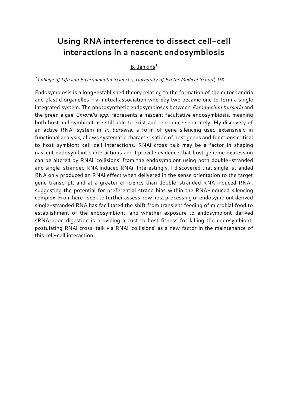#### **Using RNA interference to dissect cell-cell interactions in a nascent endosymbiosis**

#### **B. Jenkins<sup>1</sup>**

#### *<sup>1</sup>College of Life and Environmental Sciences, University of Exeter Medical School, UK*

**Endosymbiosis is a long-established theory relating to the formation of the mitochondria and plastid organelles - a mutual association whereby two became one to form a single integrated system. The photosynthetic endosymbioses between** *Paramecium bursaria* **and the green algae** *Chlorella spp.* **represents a nascent facultative endosymbiosis, meaning both host and symbiont are still able to exist and reproduce separately. My discovery of an active RNAi system in** *P. bursaria***, a form of gene silencing used extensively in functional analysis, allows systematic characterisation of host genes and functions critical to host-symbiont cell-cell interactions. RNAi cross-talk may be a factor in shaping nascent endosymbiotic interactions and I provide evidence that host genome expression can be altered by RNAi 'collisions' from the endosymbiont using both double-stranded and single-stranded RNA induced RNAi. Interestingly, I discovered that single-stranded RNA only produced an RNAi effect when delivered in the sense orientation to the target gene transcript, and at a greater efficiency than double-stranded RNA induced RNAi, suggesting the potential for preferential strand bias within the RNA-induced silencing complex. From here I seek to further assess how host processing of endosymbiont derived single-stranded RNA has facilitated the shift from transient feeding of microbial food to establishment of the endosymbiont, and whether exposure to endosymbiont-derived sRNA upon digestion is providing a cost to host fitness for killing the endosymbiont, postulating RNAi cross-talk via RNAi 'collisions' as a new factor in the maintenance of this cell-cell interaction.**